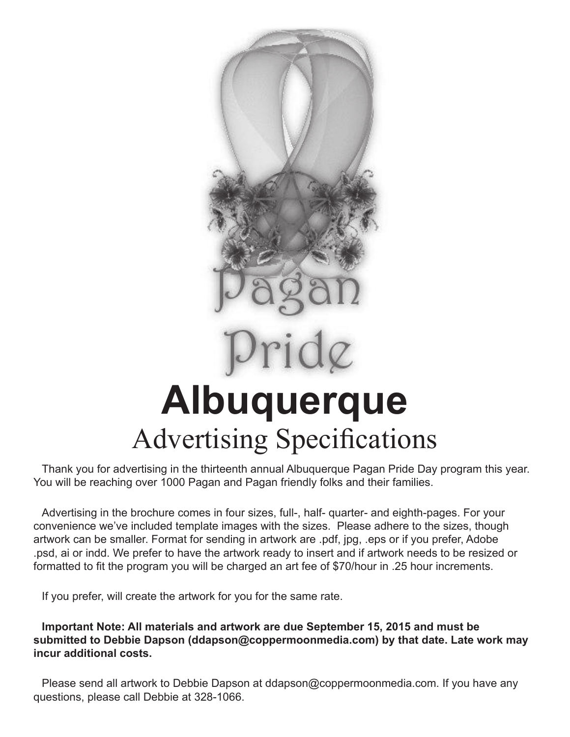

## ridg

## **Albuquerque** Advertising Specifications

Thank you for advertising in the thirteenth annual Albuquerque Pagan Pride Day program this year. You will be reaching over 1000 Pagan and Pagan friendly folks and their families.

Advertising in the brochure comes in four sizes, full-, half- quarter- and eighth-pages. For your convenience we've included template images with the sizes. Please adhere to the sizes, though artwork can be smaller. Format for sending in artwork are .pdf, jpg, .eps or if you prefer, Adobe .psd, ai or indd. We prefer to have the artwork ready to insert and if artwork needs to be resized or formatted to fit the program you will be charged an art fee of \$70/hour in .25 hour increments.

If you prefer, will create the artwork for you for the same rate.

**Important Note: All materials and artwork are due September 15, 2015 and must be submitted to Debbie Dapson (ddapson@coppermoonmedia.com) by that date. Late work may incur additional costs.** 

Please send all artwork to Debbie Dapson at ddapson@coppermoonmedia.com. If you have any questions, please call Debbie at 328-1066.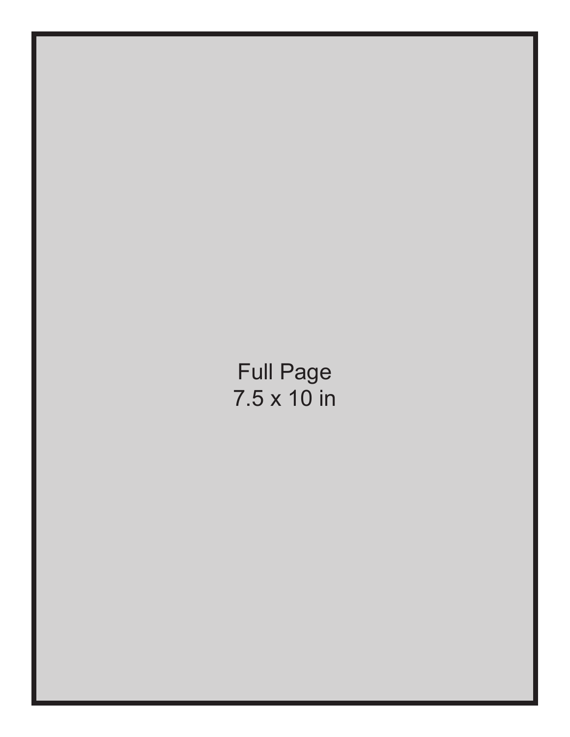Full Page 7.5 x 10 in